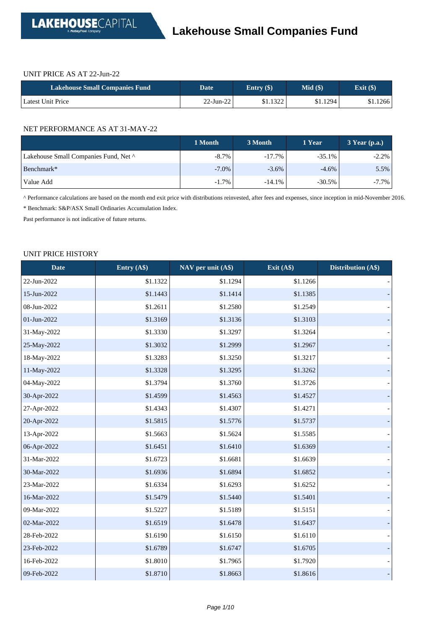#### UNIT PRICE AS AT 22-Jun-22

| <b>Lakehouse Small Companies Fund</b> | Date         | Entry $(\$)$ | $Mid($ \$ | Exit $(\$)$ |
|---------------------------------------|--------------|--------------|-----------|-------------|
| Latest Unit Price                     | $22$ -Jun-22 | \$1.1322     | \$1.1294  | \$1.1266    |

#### NET PERFORMANCE AS AT 31-MAY-22

|                                       | 1 Month  | 3 Month   | 1 Year   | $3$ Year (p.a.) |
|---------------------------------------|----------|-----------|----------|-----------------|
| Lakehouse Small Companies Fund, Net ^ | $-8.7\%$ | $-17.7\%$ | $-35.1%$ | $-2.2%$         |
| Benchmark*                            | $-7.0\%$ | $-3.6\%$  | $-4.6\%$ | 5.5%            |
| Value Add                             | $-1.7%$  | $-14.1%$  | $-30.5%$ | $-7.7\%$        |

^ Performance calculations are based on the month end exit price with distributions reinvested, after fees and expenses, since inception in mid-November 2016.

\* Benchmark: S&P/ASX Small Ordinaries Accumulation Index.

Past performance is not indicative of future returns.

#### UNIT PRICE HISTORY

| <b>Date</b> | Entry (A\$) | NAV per unit (A\$) | Exit $(A\$ ) | Distribution (A\$) |
|-------------|-------------|--------------------|--------------|--------------------|
| 22-Jun-2022 | \$1.1322    | \$1.1294           | \$1.1266     |                    |
| 15-Jun-2022 | \$1.1443    | \$1.1414           | \$1.1385     |                    |
| 08-Jun-2022 | \$1.2611    | \$1.2580           | \$1.2549     |                    |
| 01-Jun-2022 | \$1.3169    | \$1.3136           | \$1.3103     |                    |
| 31-May-2022 | \$1.3330    | \$1.3297           | \$1.3264     |                    |
| 25-May-2022 | \$1.3032    | \$1.2999           | \$1.2967     |                    |
| 18-May-2022 | \$1.3283    | \$1.3250           | \$1.3217     |                    |
| 11-May-2022 | \$1.3328    | \$1.3295           | \$1.3262     |                    |
| 04-May-2022 | \$1.3794    | \$1.3760           | \$1.3726     |                    |
| 30-Apr-2022 | \$1.4599    | \$1.4563           | \$1.4527     |                    |
| 27-Apr-2022 | \$1.4343    | \$1.4307           | \$1.4271     |                    |
| 20-Apr-2022 | \$1.5815    | \$1.5776           | \$1.5737     |                    |
| 13-Apr-2022 | \$1.5663    | \$1.5624           | \$1.5585     |                    |
| 06-Apr-2022 | \$1.6451    | \$1.6410           | \$1.6369     |                    |
| 31-Mar-2022 | \$1.6723    | \$1.6681           | \$1.6639     |                    |
| 30-Mar-2022 | \$1.6936    | \$1.6894           | \$1.6852     |                    |
| 23-Mar-2022 | \$1.6334    | \$1.6293           | \$1.6252     |                    |
| 16-Mar-2022 | \$1.5479    | \$1.5440           | \$1.5401     |                    |
| 09-Mar-2022 | \$1.5227    | \$1.5189           | \$1.5151     |                    |
| 02-Mar-2022 | \$1.6519    | \$1.6478           | \$1.6437     |                    |
| 28-Feb-2022 | \$1.6190    | \$1.6150           | \$1.6110     |                    |
| 23-Feb-2022 | \$1.6789    | \$1.6747           | \$1.6705     |                    |
| 16-Feb-2022 | \$1.8010    | \$1.7965           | \$1.7920     |                    |
| 09-Feb-2022 | \$1.8710    | \$1.8663           | \$1.8616     |                    |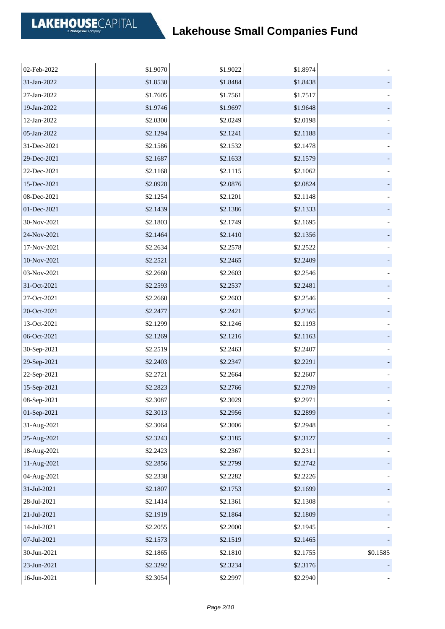| 02-Feb-2022 | \$1.9070 | \$1.9022 | \$1.8974 |          |
|-------------|----------|----------|----------|----------|
| 31-Jan-2022 | \$1.8530 | \$1.8484 | \$1.8438 |          |
| 27-Jan-2022 | \$1.7605 | \$1.7561 | \$1.7517 |          |
| 19-Jan-2022 | \$1.9746 | \$1.9697 | \$1.9648 |          |
| 12-Jan-2022 | \$2.0300 | \$2.0249 | \$2.0198 |          |
| 05-Jan-2022 | \$2.1294 | \$2.1241 | \$2.1188 |          |
| 31-Dec-2021 | \$2.1586 | \$2.1532 | \$2.1478 |          |
| 29-Dec-2021 | \$2.1687 | \$2.1633 | \$2.1579 |          |
| 22-Dec-2021 | \$2.1168 | \$2.1115 | \$2.1062 |          |
| 15-Dec-2021 | \$2.0928 | \$2.0876 | \$2.0824 |          |
| 08-Dec-2021 | \$2.1254 | \$2.1201 | \$2.1148 |          |
| 01-Dec-2021 | \$2.1439 | \$2.1386 | \$2.1333 |          |
| 30-Nov-2021 | \$2.1803 | \$2.1749 | \$2.1695 |          |
| 24-Nov-2021 | \$2.1464 | \$2.1410 | \$2.1356 |          |
| 17-Nov-2021 | \$2.2634 | \$2.2578 | \$2.2522 |          |
| 10-Nov-2021 | \$2.2521 | \$2.2465 | \$2.2409 |          |
| 03-Nov-2021 | \$2.2660 | \$2.2603 | \$2.2546 |          |
| 31-Oct-2021 | \$2.2593 | \$2.2537 | \$2.2481 |          |
| 27-Oct-2021 | \$2.2660 | \$2.2603 | \$2.2546 |          |
| 20-Oct-2021 | \$2.2477 | \$2.2421 | \$2.2365 |          |
| 13-Oct-2021 | \$2.1299 | \$2.1246 | \$2.1193 |          |
| 06-Oct-2021 | \$2.1269 | \$2.1216 | \$2.1163 |          |
| 30-Sep-2021 | \$2.2519 | \$2.2463 | \$2.2407 |          |
| 29-Sep-2021 | \$2.2403 | \$2.2347 | \$2.2291 |          |
| 22-Sep-2021 | \$2.2721 | \$2.2664 | \$2.2607 |          |
| 15-Sep-2021 | \$2.2823 | \$2.2766 | \$2.2709 |          |
| 08-Sep-2021 | \$2.3087 | \$2.3029 | \$2.2971 |          |
| 01-Sep-2021 | \$2.3013 | \$2.2956 | \$2.2899 |          |
| 31-Aug-2021 | \$2.3064 | \$2.3006 | \$2.2948 |          |
| 25-Aug-2021 | \$2.3243 | \$2.3185 | \$2.3127 |          |
| 18-Aug-2021 | \$2.2423 | \$2.2367 | \$2.2311 |          |
| 11-Aug-2021 | \$2.2856 | \$2.2799 | \$2.2742 |          |
| 04-Aug-2021 | \$2.2338 | \$2.2282 | \$2.2226 |          |
| 31-Jul-2021 | \$2.1807 | \$2.1753 | \$2.1699 |          |
| 28-Jul-2021 | \$2.1414 | \$2.1361 | \$2.1308 |          |
| 21-Jul-2021 | \$2.1919 | \$2.1864 | \$2.1809 |          |
| 14-Jul-2021 | \$2.2055 | \$2.2000 | \$2.1945 |          |
| 07-Jul-2021 | \$2.1573 | \$2.1519 | \$2.1465 |          |
| 30-Jun-2021 | \$2.1865 | \$2.1810 | \$2.1755 | \$0.1585 |
| 23-Jun-2021 | \$2.3292 | \$2.3234 | \$2.3176 |          |
| 16-Jun-2021 | \$2.3054 | \$2.2997 | \$2.2940 |          |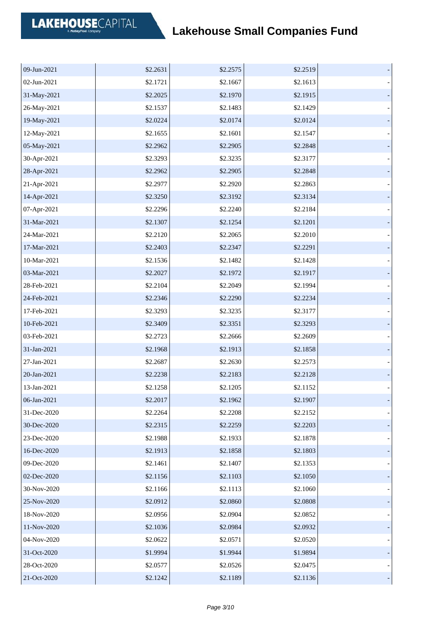| 09-Jun-2021 | \$2.2631 | \$2.2575 | \$2.2519 |  |
|-------------|----------|----------|----------|--|
| 02-Jun-2021 | \$2.1721 | \$2.1667 | \$2.1613 |  |
| 31-May-2021 | \$2.2025 | \$2.1970 | \$2.1915 |  |
| 26-May-2021 | \$2.1537 | \$2.1483 | \$2.1429 |  |
| 19-May-2021 | \$2.0224 | \$2.0174 | \$2.0124 |  |
| 12-May-2021 | \$2.1655 | \$2.1601 | \$2.1547 |  |
| 05-May-2021 | \$2.2962 | \$2.2905 | \$2.2848 |  |
| 30-Apr-2021 | \$2.3293 | \$2.3235 | \$2.3177 |  |
| 28-Apr-2021 | \$2.2962 | \$2.2905 | \$2.2848 |  |
| 21-Apr-2021 | \$2.2977 | \$2.2920 | \$2.2863 |  |
| 14-Apr-2021 | \$2.3250 | \$2.3192 | \$2.3134 |  |
| 07-Apr-2021 | \$2.2296 | \$2.2240 | \$2.2184 |  |
| 31-Mar-2021 | \$2.1307 | \$2.1254 | \$2.1201 |  |
| 24-Mar-2021 | \$2.2120 | \$2.2065 | \$2.2010 |  |
| 17-Mar-2021 | \$2.2403 | \$2.2347 | \$2.2291 |  |
| 10-Mar-2021 | \$2.1536 | \$2.1482 | \$2.1428 |  |
| 03-Mar-2021 | \$2.2027 | \$2.1972 | \$2.1917 |  |
| 28-Feb-2021 | \$2.2104 | \$2.2049 | \$2.1994 |  |
| 24-Feb-2021 | \$2.2346 | \$2.2290 | \$2.2234 |  |
| 17-Feb-2021 | \$2.3293 | \$2.3235 | \$2.3177 |  |
| 10-Feb-2021 | \$2.3409 | \$2.3351 | \$2.3293 |  |
| 03-Feb-2021 | \$2.2723 | \$2.2666 | \$2.2609 |  |
| 31-Jan-2021 | \$2.1968 | \$2.1913 | \$2.1858 |  |
| 27-Jan-2021 | \$2.2687 | \$2.2630 | \$2.2573 |  |
| 20-Jan-2021 | \$2.2238 | \$2.2183 | \$2.2128 |  |
| 13-Jan-2021 | \$2.1258 | \$2.1205 | \$2.1152 |  |
| 06-Jan-2021 | \$2.2017 | \$2.1962 | \$2.1907 |  |
| 31-Dec-2020 | \$2.2264 | \$2.2208 | \$2.2152 |  |
| 30-Dec-2020 | \$2.2315 | \$2.2259 | \$2.2203 |  |
| 23-Dec-2020 | \$2.1988 | \$2.1933 | \$2.1878 |  |
| 16-Dec-2020 | \$2.1913 | \$2.1858 | \$2.1803 |  |
| 09-Dec-2020 | \$2.1461 | \$2.1407 | \$2.1353 |  |
| 02-Dec-2020 | \$2.1156 | \$2.1103 | \$2.1050 |  |
| 30-Nov-2020 | \$2.1166 | \$2.1113 | \$2.1060 |  |
| 25-Nov-2020 | \$2.0912 | \$2.0860 | \$2.0808 |  |
| 18-Nov-2020 | \$2.0956 | \$2.0904 | \$2.0852 |  |
| 11-Nov-2020 | \$2.1036 | \$2.0984 | \$2.0932 |  |
| 04-Nov-2020 | \$2.0622 | \$2.0571 | \$2.0520 |  |
| 31-Oct-2020 | \$1.9994 | \$1.9944 | \$1.9894 |  |
| 28-Oct-2020 | \$2.0577 | \$2.0526 | \$2.0475 |  |
| 21-Oct-2020 | \$2.1242 | \$2.1189 | \$2.1136 |  |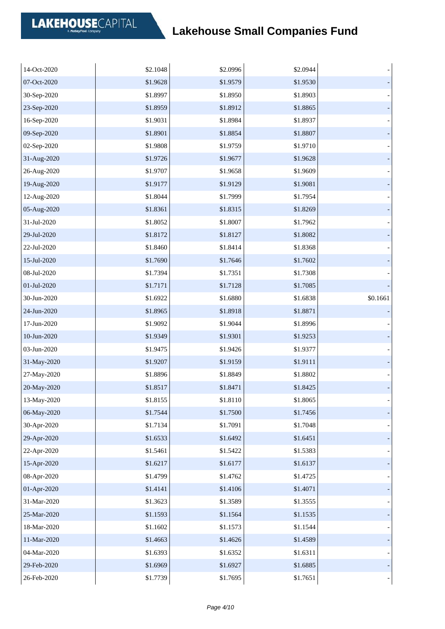| 14-Oct-2020 | \$2.1048 | \$2.0996 | \$2.0944 |          |
|-------------|----------|----------|----------|----------|
| 07-Oct-2020 | \$1.9628 | \$1.9579 | \$1.9530 |          |
| 30-Sep-2020 | \$1.8997 | \$1.8950 | \$1.8903 |          |
| 23-Sep-2020 | \$1.8959 | \$1.8912 | \$1.8865 |          |
| 16-Sep-2020 | \$1.9031 | \$1.8984 | \$1.8937 |          |
| 09-Sep-2020 | \$1.8901 | \$1.8854 | \$1.8807 |          |
| 02-Sep-2020 | \$1.9808 | \$1.9759 | \$1.9710 |          |
| 31-Aug-2020 | \$1.9726 | \$1.9677 | \$1.9628 |          |
| 26-Aug-2020 | \$1.9707 | \$1.9658 | \$1.9609 |          |
| 19-Aug-2020 | \$1.9177 | \$1.9129 | \$1.9081 |          |
| 12-Aug-2020 | \$1.8044 | \$1.7999 | \$1.7954 |          |
| 05-Aug-2020 | \$1.8361 | \$1.8315 | \$1.8269 |          |
| 31-Jul-2020 | \$1.8052 | \$1.8007 | \$1.7962 |          |
| 29-Jul-2020 | \$1.8172 | \$1.8127 | \$1.8082 |          |
| 22-Jul-2020 | \$1.8460 | \$1.8414 | \$1.8368 |          |
| 15-Jul-2020 | \$1.7690 | \$1.7646 | \$1.7602 |          |
| 08-Jul-2020 | \$1.7394 | \$1.7351 | \$1.7308 |          |
| 01-Jul-2020 | \$1.7171 | \$1.7128 | \$1.7085 |          |
| 30-Jun-2020 | \$1.6922 | \$1.6880 | \$1.6838 | \$0.1661 |
| 24-Jun-2020 | \$1.8965 | \$1.8918 | \$1.8871 |          |
| 17-Jun-2020 | \$1.9092 | \$1.9044 | \$1.8996 |          |
| 10-Jun-2020 | \$1.9349 | \$1.9301 | \$1.9253 |          |
| 03-Jun-2020 | \$1.9475 | \$1.9426 | \$1.9377 |          |
| 31-May-2020 | \$1.9207 | \$1.9159 | \$1.9111 |          |
| 27-May-2020 | \$1.8896 | \$1.8849 | \$1.8802 |          |
| 20-May-2020 | \$1.8517 | \$1.8471 | \$1.8425 |          |
| 13-May-2020 | \$1.8155 | \$1.8110 | \$1.8065 |          |
| 06-May-2020 | \$1.7544 | \$1.7500 | \$1.7456 |          |
| 30-Apr-2020 | \$1.7134 | \$1.7091 | \$1.7048 |          |
| 29-Apr-2020 | \$1.6533 | \$1.6492 | \$1.6451 |          |
| 22-Apr-2020 | \$1.5461 | \$1.5422 | \$1.5383 |          |
| 15-Apr-2020 | \$1.6217 | \$1.6177 | \$1.6137 |          |
| 08-Apr-2020 | \$1.4799 | \$1.4762 | \$1.4725 |          |
| 01-Apr-2020 | \$1.4141 | \$1.4106 | \$1.4071 |          |
| 31-Mar-2020 | \$1.3623 | \$1.3589 | \$1.3555 |          |
| 25-Mar-2020 | \$1.1593 | \$1.1564 | \$1.1535 |          |
| 18-Mar-2020 | \$1.1602 | \$1.1573 | \$1.1544 |          |
| 11-Mar-2020 | \$1.4663 | \$1.4626 | \$1.4589 |          |
| 04-Mar-2020 | \$1.6393 | \$1.6352 | \$1.6311 |          |
| 29-Feb-2020 | \$1.6969 | \$1.6927 | \$1.6885 |          |
| 26-Feb-2020 | \$1.7739 | \$1.7695 | \$1.7651 |          |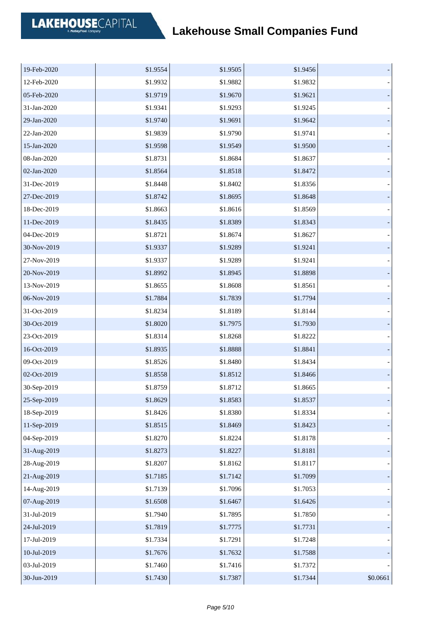| 19-Feb-2020 | \$1.9554 | \$1.9505 | \$1.9456 |          |
|-------------|----------|----------|----------|----------|
| 12-Feb-2020 | \$1.9932 | \$1.9882 | \$1.9832 |          |
| 05-Feb-2020 | \$1.9719 | \$1.9670 | \$1.9621 |          |
| 31-Jan-2020 | \$1.9341 | \$1.9293 | \$1.9245 |          |
| 29-Jan-2020 | \$1.9740 | \$1.9691 | \$1.9642 |          |
| 22-Jan-2020 | \$1.9839 | \$1.9790 | \$1.9741 |          |
| 15-Jan-2020 | \$1.9598 | \$1.9549 | \$1.9500 |          |
| 08-Jan-2020 | \$1.8731 | \$1.8684 | \$1.8637 |          |
| 02-Jan-2020 | \$1.8564 | \$1.8518 | \$1.8472 |          |
| 31-Dec-2019 | \$1.8448 | \$1.8402 | \$1.8356 |          |
| 27-Dec-2019 | \$1.8742 | \$1.8695 | \$1.8648 |          |
| 18-Dec-2019 | \$1.8663 | \$1.8616 | \$1.8569 |          |
| 11-Dec-2019 | \$1.8435 | \$1.8389 | \$1.8343 |          |
| 04-Dec-2019 | \$1.8721 | \$1.8674 | \$1.8627 |          |
| 30-Nov-2019 | \$1.9337 | \$1.9289 | \$1.9241 |          |
| 27-Nov-2019 | \$1.9337 | \$1.9289 | \$1.9241 |          |
| 20-Nov-2019 | \$1.8992 | \$1.8945 | \$1.8898 |          |
| 13-Nov-2019 | \$1.8655 | \$1.8608 | \$1.8561 |          |
| 06-Nov-2019 | \$1.7884 | \$1.7839 | \$1.7794 |          |
| 31-Oct-2019 | \$1.8234 | \$1.8189 | \$1.8144 |          |
| 30-Oct-2019 | \$1.8020 | \$1.7975 | \$1.7930 |          |
| 23-Oct-2019 | \$1.8314 | \$1.8268 | \$1.8222 |          |
| 16-Oct-2019 | \$1.8935 | \$1.8888 | \$1.8841 |          |
| 09-Oct-2019 | \$1.8526 | \$1.8480 | \$1.8434 |          |
| 02-Oct-2019 | \$1.8558 | \$1.8512 | \$1.8466 |          |
| 30-Sep-2019 | \$1.8759 | \$1.8712 | \$1.8665 |          |
| 25-Sep-2019 | \$1.8629 | \$1.8583 | \$1.8537 |          |
| 18-Sep-2019 | \$1.8426 | \$1.8380 | \$1.8334 |          |
| 11-Sep-2019 | \$1.8515 | \$1.8469 | \$1.8423 |          |
| 04-Sep-2019 | \$1.8270 | \$1.8224 | \$1.8178 |          |
| 31-Aug-2019 | \$1.8273 | \$1.8227 | \$1.8181 |          |
| 28-Aug-2019 | \$1.8207 | \$1.8162 | \$1.8117 |          |
| 21-Aug-2019 | \$1.7185 | \$1.7142 | \$1.7099 |          |
| 14-Aug-2019 | \$1.7139 | \$1.7096 | \$1.7053 |          |
| 07-Aug-2019 | \$1.6508 | \$1.6467 | \$1.6426 |          |
| 31-Jul-2019 | \$1.7940 | \$1.7895 | \$1.7850 |          |
| 24-Jul-2019 | \$1.7819 | \$1.7775 | \$1.7731 |          |
| 17-Jul-2019 | \$1.7334 | \$1.7291 | \$1.7248 |          |
| 10-Jul-2019 | \$1.7676 | \$1.7632 | \$1.7588 |          |
| 03-Jul-2019 | \$1.7460 | \$1.7416 | \$1.7372 |          |
| 30-Jun-2019 | \$1.7430 | \$1.7387 | \$1.7344 | \$0.0661 |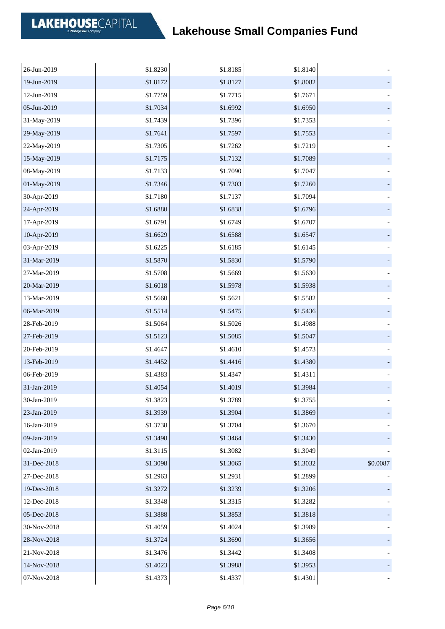| 26-Jun-2019 | \$1.8230 | \$1.8185 | \$1.8140 |          |
|-------------|----------|----------|----------|----------|
| 19-Jun-2019 | \$1.8172 | \$1.8127 | \$1.8082 |          |
| 12-Jun-2019 | \$1.7759 | \$1.7715 | \$1.7671 |          |
| 05-Jun-2019 | \$1.7034 | \$1.6992 | \$1.6950 |          |
| 31-May-2019 | \$1.7439 | \$1.7396 | \$1.7353 |          |
| 29-May-2019 | \$1.7641 | \$1.7597 | \$1.7553 |          |
| 22-May-2019 | \$1.7305 | \$1.7262 | \$1.7219 |          |
| 15-May-2019 | \$1.7175 | \$1.7132 | \$1.7089 |          |
| 08-May-2019 | \$1.7133 | \$1.7090 | \$1.7047 |          |
| 01-May-2019 | \$1.7346 | \$1.7303 | \$1.7260 |          |
| 30-Apr-2019 | \$1.7180 | \$1.7137 | \$1.7094 |          |
| 24-Apr-2019 | \$1.6880 | \$1.6838 | \$1.6796 |          |
| 17-Apr-2019 | \$1.6791 | \$1.6749 | \$1.6707 |          |
| 10-Apr-2019 | \$1.6629 | \$1.6588 | \$1.6547 |          |
| 03-Apr-2019 | \$1.6225 | \$1.6185 | \$1.6145 |          |
| 31-Mar-2019 | \$1.5870 | \$1.5830 | \$1.5790 |          |
| 27-Mar-2019 | \$1.5708 | \$1.5669 | \$1.5630 |          |
| 20-Mar-2019 | \$1.6018 | \$1.5978 | \$1.5938 |          |
| 13-Mar-2019 | \$1.5660 | \$1.5621 | \$1.5582 |          |
| 06-Mar-2019 | \$1.5514 | \$1.5475 | \$1.5436 |          |
| 28-Feb-2019 | \$1.5064 | \$1.5026 | \$1.4988 |          |
| 27-Feb-2019 | \$1.5123 | \$1.5085 | \$1.5047 |          |
| 20-Feb-2019 | \$1.4647 | \$1.4610 | \$1.4573 |          |
| 13-Feb-2019 | \$1.4452 | \$1.4416 | \$1.4380 |          |
| 06-Feb-2019 | \$1.4383 | \$1.4347 | \$1.4311 |          |
| 31-Jan-2019 | \$1.4054 | \$1.4019 | \$1.3984 |          |
| 30-Jan-2019 | \$1.3823 | \$1.3789 | \$1.3755 |          |
| 23-Jan-2019 | \$1.3939 | \$1.3904 | \$1.3869 |          |
| 16-Jan-2019 | \$1.3738 | \$1.3704 | \$1.3670 |          |
| 09-Jan-2019 | \$1.3498 | \$1.3464 | \$1.3430 |          |
| 02-Jan-2019 | \$1.3115 | \$1.3082 | \$1.3049 |          |
| 31-Dec-2018 | \$1.3098 | \$1.3065 | \$1.3032 | \$0.0087 |
| 27-Dec-2018 | \$1.2963 | \$1.2931 | \$1.2899 |          |
| 19-Dec-2018 | \$1.3272 | \$1.3239 | \$1.3206 |          |
| 12-Dec-2018 | \$1.3348 | \$1.3315 | \$1.3282 |          |
| 05-Dec-2018 | \$1.3888 | \$1.3853 | \$1.3818 |          |
| 30-Nov-2018 | \$1.4059 | \$1.4024 | \$1.3989 |          |
| 28-Nov-2018 | \$1.3724 | \$1.3690 | \$1.3656 |          |
| 21-Nov-2018 | \$1.3476 | \$1.3442 | \$1.3408 |          |
| 14-Nov-2018 | \$1.4023 | \$1.3988 | \$1.3953 |          |
| 07-Nov-2018 | \$1.4373 | \$1.4337 | \$1.4301 |          |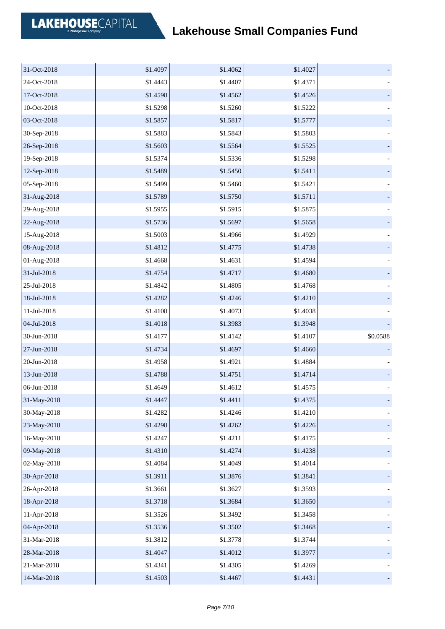| 31-Oct-2018 | \$1.4097 | \$1.4062 | \$1.4027 |          |
|-------------|----------|----------|----------|----------|
| 24-Oct-2018 | \$1.4443 | \$1.4407 | \$1.4371 |          |
| 17-Oct-2018 | \$1.4598 | \$1.4562 | \$1.4526 |          |
| 10-Oct-2018 | \$1.5298 | \$1.5260 | \$1.5222 |          |
| 03-Oct-2018 | \$1.5857 | \$1.5817 | \$1.5777 |          |
| 30-Sep-2018 | \$1.5883 | \$1.5843 | \$1.5803 |          |
| 26-Sep-2018 | \$1.5603 | \$1.5564 | \$1.5525 |          |
| 19-Sep-2018 | \$1.5374 | \$1.5336 | \$1.5298 |          |
| 12-Sep-2018 | \$1.5489 | \$1.5450 | \$1.5411 |          |
| 05-Sep-2018 | \$1.5499 | \$1.5460 | \$1.5421 |          |
| 31-Aug-2018 | \$1.5789 | \$1.5750 | \$1.5711 |          |
| 29-Aug-2018 | \$1.5955 | \$1.5915 | \$1.5875 |          |
| 22-Aug-2018 | \$1.5736 | \$1.5697 | \$1.5658 |          |
| 15-Aug-2018 | \$1.5003 | \$1.4966 | \$1.4929 |          |
| 08-Aug-2018 | \$1.4812 | \$1.4775 | \$1.4738 |          |
| 01-Aug-2018 | \$1.4668 | \$1.4631 | \$1.4594 |          |
| 31-Jul-2018 | \$1.4754 | \$1.4717 | \$1.4680 |          |
| 25-Jul-2018 | \$1.4842 | \$1.4805 | \$1.4768 |          |
| 18-Jul-2018 | \$1.4282 | \$1.4246 | \$1.4210 |          |
| 11-Jul-2018 | \$1.4108 | \$1.4073 | \$1.4038 |          |
| 04-Jul-2018 | \$1.4018 | \$1.3983 | \$1.3948 |          |
| 30-Jun-2018 | \$1.4177 | \$1.4142 | \$1.4107 | \$0.0588 |
| 27-Jun-2018 | \$1.4734 | \$1.4697 | \$1.4660 |          |
| 20-Jun-2018 | \$1.4958 | \$1.4921 | \$1.4884 |          |
| 13-Jun-2018 | \$1.4788 | \$1.4751 | \$1.4714 |          |
| 06-Jun-2018 | \$1.4649 | \$1.4612 | \$1.4575 |          |
| 31-May-2018 | \$1.4447 | \$1.4411 | \$1.4375 |          |
| 30-May-2018 | \$1.4282 | \$1.4246 | \$1.4210 |          |
| 23-May-2018 | \$1.4298 | \$1.4262 | \$1.4226 |          |
| 16-May-2018 | \$1.4247 | \$1.4211 | \$1.4175 |          |
| 09-May-2018 | \$1.4310 | \$1.4274 | \$1.4238 |          |
| 02-May-2018 | \$1.4084 | \$1.4049 | \$1.4014 |          |
| 30-Apr-2018 | \$1.3911 | \$1.3876 | \$1.3841 |          |
| 26-Apr-2018 | \$1.3661 | \$1.3627 | \$1.3593 |          |
| 18-Apr-2018 | \$1.3718 | \$1.3684 | \$1.3650 |          |
| 11-Apr-2018 | \$1.3526 | \$1.3492 | \$1.3458 |          |
| 04-Apr-2018 | \$1.3536 | \$1.3502 | \$1.3468 |          |
| 31-Mar-2018 | \$1.3812 | \$1.3778 | \$1.3744 |          |
| 28-Mar-2018 | \$1.4047 | \$1.4012 | \$1.3977 |          |
| 21-Mar-2018 | \$1.4341 | \$1.4305 | \$1.4269 |          |
| 14-Mar-2018 | \$1.4503 | \$1.4467 | \$1.4431 |          |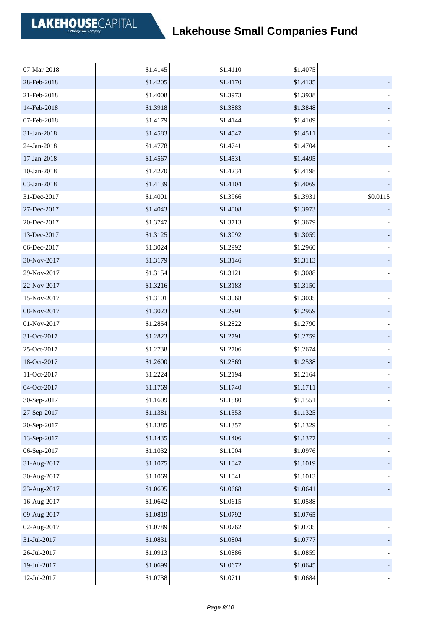| 07-Mar-2018 | \$1.4145 | \$1.4110 | \$1.4075 |          |
|-------------|----------|----------|----------|----------|
| 28-Feb-2018 | \$1.4205 | \$1.4170 | \$1.4135 |          |
| 21-Feb-2018 | \$1.4008 | \$1.3973 | \$1.3938 |          |
| 14-Feb-2018 | \$1.3918 | \$1.3883 | \$1.3848 |          |
| 07-Feb-2018 | \$1.4179 | \$1.4144 | \$1.4109 |          |
| 31-Jan-2018 | \$1.4583 | \$1.4547 | \$1.4511 |          |
| 24-Jan-2018 | \$1.4778 | \$1.4741 | \$1.4704 |          |
| 17-Jan-2018 | \$1.4567 | \$1.4531 | \$1.4495 |          |
| 10-Jan-2018 | \$1.4270 | \$1.4234 | \$1.4198 |          |
| 03-Jan-2018 | \$1.4139 | \$1.4104 | \$1.4069 |          |
| 31-Dec-2017 | \$1.4001 | \$1.3966 | \$1.3931 | \$0.0115 |
| 27-Dec-2017 | \$1.4043 | \$1.4008 | \$1.3973 |          |
| 20-Dec-2017 | \$1.3747 | \$1.3713 | \$1.3679 |          |
| 13-Dec-2017 | \$1.3125 | \$1.3092 | \$1.3059 |          |
| 06-Dec-2017 | \$1.3024 | \$1.2992 | \$1.2960 |          |
| 30-Nov-2017 | \$1.3179 | \$1.3146 | \$1.3113 |          |
| 29-Nov-2017 | \$1.3154 | \$1.3121 | \$1.3088 |          |
| 22-Nov-2017 | \$1.3216 | \$1.3183 | \$1.3150 |          |
| 15-Nov-2017 | \$1.3101 | \$1.3068 | \$1.3035 |          |
| 08-Nov-2017 | \$1.3023 | \$1.2991 | \$1.2959 |          |
| 01-Nov-2017 | \$1.2854 | \$1.2822 | \$1.2790 |          |
| 31-Oct-2017 | \$1.2823 | \$1.2791 | \$1.2759 |          |
| 25-Oct-2017 | \$1.2738 | \$1.2706 | \$1.2674 |          |
| 18-Oct-2017 | \$1.2600 | \$1.2569 | \$1.2538 |          |
| 11-Oct-2017 | \$1.2224 | \$1.2194 | \$1.2164 |          |
| 04-Oct-2017 | \$1.1769 | \$1.1740 | \$1.1711 |          |
| 30-Sep-2017 | \$1.1609 | \$1.1580 | \$1.1551 |          |
| 27-Sep-2017 | \$1.1381 | \$1.1353 | \$1.1325 |          |
| 20-Sep-2017 | \$1.1385 | \$1.1357 | \$1.1329 |          |
| 13-Sep-2017 | \$1.1435 | \$1.1406 | \$1.1377 |          |
| 06-Sep-2017 | \$1.1032 | \$1.1004 | \$1.0976 |          |
| 31-Aug-2017 | \$1.1075 | \$1.1047 | \$1.1019 |          |
| 30-Aug-2017 | \$1.1069 | \$1.1041 | \$1.1013 |          |
| 23-Aug-2017 | \$1.0695 | \$1.0668 | \$1.0641 |          |
| 16-Aug-2017 | \$1.0642 | \$1.0615 | \$1.0588 |          |
| 09-Aug-2017 | \$1.0819 | \$1.0792 | \$1.0765 |          |
| 02-Aug-2017 | \$1.0789 | \$1.0762 | \$1.0735 |          |
| 31-Jul-2017 | \$1.0831 | \$1.0804 | \$1.0777 |          |
| 26-Jul-2017 | \$1.0913 | \$1.0886 | \$1.0859 |          |
| 19-Jul-2017 | \$1.0699 | \$1.0672 | \$1.0645 |          |
| 12-Jul-2017 | \$1.0738 | \$1.0711 | \$1.0684 |          |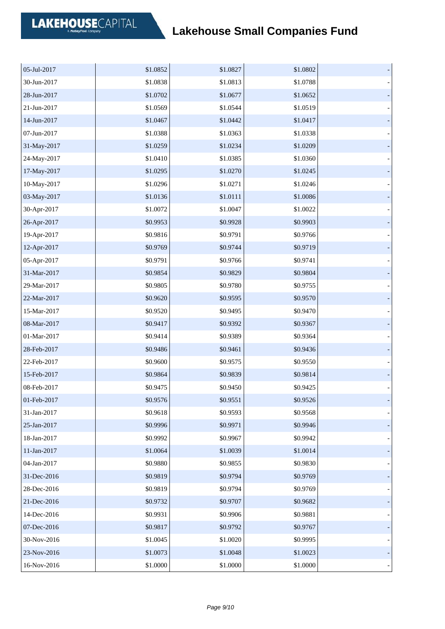| 05-Jul-2017 | \$1.0852 | \$1.0827 | \$1.0802 |  |
|-------------|----------|----------|----------|--|
| 30-Jun-2017 | \$1.0838 | \$1.0813 | \$1.0788 |  |
| 28-Jun-2017 | \$1.0702 | \$1.0677 | \$1.0652 |  |
| 21-Jun-2017 | \$1.0569 | \$1.0544 | \$1.0519 |  |
| 14-Jun-2017 | \$1.0467 | \$1.0442 | \$1.0417 |  |
| 07-Jun-2017 | \$1.0388 | \$1.0363 | \$1.0338 |  |
| 31-May-2017 | \$1.0259 | \$1.0234 | \$1.0209 |  |
| 24-May-2017 | \$1.0410 | \$1.0385 | \$1.0360 |  |
| 17-May-2017 | \$1.0295 | \$1.0270 | \$1.0245 |  |
| 10-May-2017 | \$1.0296 | \$1.0271 | \$1.0246 |  |
| 03-May-2017 | \$1.0136 | \$1.0111 | \$1.0086 |  |
| 30-Apr-2017 | \$1.0072 | \$1.0047 | \$1.0022 |  |
| 26-Apr-2017 | \$0.9953 | \$0.9928 | \$0.9903 |  |
| 19-Apr-2017 | \$0.9816 | \$0.9791 | \$0.9766 |  |
| 12-Apr-2017 | \$0.9769 | \$0.9744 | \$0.9719 |  |
| 05-Apr-2017 | \$0.9791 | \$0.9766 | \$0.9741 |  |
| 31-Mar-2017 | \$0.9854 | \$0.9829 | \$0.9804 |  |
| 29-Mar-2017 | \$0.9805 | \$0.9780 | \$0.9755 |  |
| 22-Mar-2017 | \$0.9620 | \$0.9595 | \$0.9570 |  |
| 15-Mar-2017 | \$0.9520 | \$0.9495 | \$0.9470 |  |
| 08-Mar-2017 | \$0.9417 | \$0.9392 | \$0.9367 |  |
| 01-Mar-2017 | \$0.9414 | \$0.9389 | \$0.9364 |  |
| 28-Feb-2017 | \$0.9486 | \$0.9461 | \$0.9436 |  |
| 22-Feb-2017 | \$0.9600 | \$0.9575 | \$0.9550 |  |
| 15-Feb-2017 | \$0.9864 | \$0.9839 | \$0.9814 |  |
| 08-Feb-2017 | \$0.9475 | \$0.9450 | \$0.9425 |  |
| 01-Feb-2017 | \$0.9576 | \$0.9551 | \$0.9526 |  |
| 31-Jan-2017 | \$0.9618 | \$0.9593 | \$0.9568 |  |
| 25-Jan-2017 | \$0.9996 | \$0.9971 | \$0.9946 |  |
| 18-Jan-2017 | \$0.9992 | \$0.9967 | \$0.9942 |  |
| 11-Jan-2017 | \$1.0064 | \$1.0039 | \$1.0014 |  |
| 04-Jan-2017 | \$0.9880 | \$0.9855 | \$0.9830 |  |
| 31-Dec-2016 | \$0.9819 | \$0.9794 | \$0.9769 |  |
| 28-Dec-2016 | \$0.9819 | \$0.9794 | \$0.9769 |  |
| 21-Dec-2016 | \$0.9732 | \$0.9707 | \$0.9682 |  |
| 14-Dec-2016 | \$0.9931 | \$0.9906 | \$0.9881 |  |
| 07-Dec-2016 | \$0.9817 | \$0.9792 | \$0.9767 |  |
| 30-Nov-2016 | \$1.0045 | \$1.0020 | \$0.9995 |  |
| 23-Nov-2016 | \$1.0073 | \$1.0048 | \$1.0023 |  |
| 16-Nov-2016 | \$1.0000 | \$1.0000 | \$1.0000 |  |